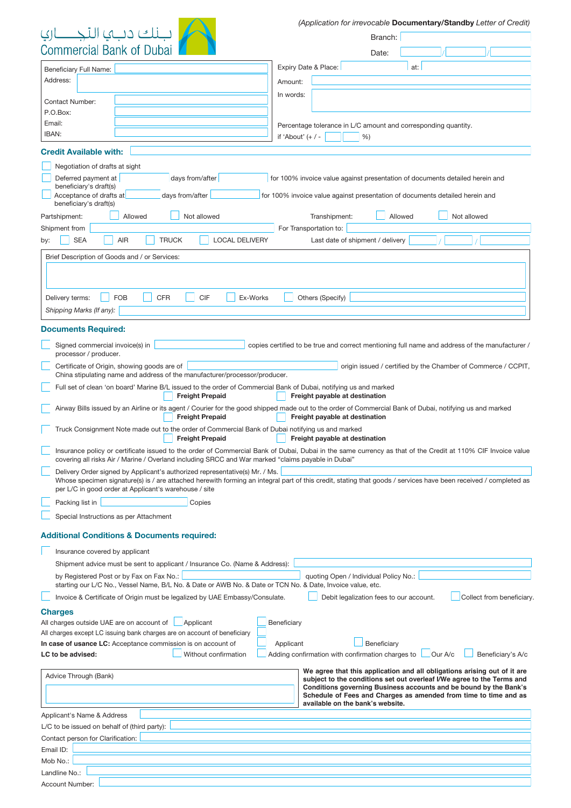| فناك دينها التح          |  |
|--------------------------|--|
| 'ommarcial Rank of Dubai |  |

Account Number:

*(Application for irrevocable* Documentary/Standby Letter of Credit)

| گ دنگا ال                                                                                                                                | Branch:                                                                                                                                                         |
|------------------------------------------------------------------------------------------------------------------------------------------|-----------------------------------------------------------------------------------------------------------------------------------------------------------------|
| <b>Commercial Bank of Dubai</b>                                                                                                          | Date:                                                                                                                                                           |
|                                                                                                                                          |                                                                                                                                                                 |
| Beneficiary Full Name:                                                                                                                   | Expiry Date & Place:<br>at:                                                                                                                                     |
| Address:                                                                                                                                 | Amount:                                                                                                                                                         |
| <b>Contact Number:</b>                                                                                                                   | In words:                                                                                                                                                       |
| P.O.Box:                                                                                                                                 |                                                                                                                                                                 |
| Email:                                                                                                                                   | Percentage tolerance in L/C amount and corresponding quantity.                                                                                                  |
| IBAN:                                                                                                                                    | if 'About' $(+ / -$<br>%                                                                                                                                        |
|                                                                                                                                          |                                                                                                                                                                 |
| <b>Credit Available with:</b>                                                                                                            |                                                                                                                                                                 |
| Negotiation of drafts at sight                                                                                                           |                                                                                                                                                                 |
| Deferred payment at<br>days from/after<br>beneficiary's draft(s)                                                                         | for 100% invoice value against presentation of documents detailed herein and                                                                                    |
| Acceptance of drafts at<br>days from/after                                                                                               | for 100% invoice value against presentation of documents detailed herein and                                                                                    |
| beneficiary's draft(s)                                                                                                                   |                                                                                                                                                                 |
| Not allowed<br>Partshipment:<br>Allowed                                                                                                  | Not allowed<br>Transhipment:<br>Allowed                                                                                                                         |
| Shipment from                                                                                                                            | For Transportation to:                                                                                                                                          |
| <b>SEA</b><br><b>AIR</b><br><b>TRUCK</b><br><b>LOCAL DELIVERY</b><br>by:                                                                 | Last date of shipment / delivery                                                                                                                                |
| Brief Description of Goods and / or Services:                                                                                            |                                                                                                                                                                 |
|                                                                                                                                          |                                                                                                                                                                 |
|                                                                                                                                          |                                                                                                                                                                 |
|                                                                                                                                          |                                                                                                                                                                 |
| <b>CIF</b><br><b>FOB</b><br><b>CFR</b><br>Ex-Works<br>Delivery terms:                                                                    | Others (Specify)                                                                                                                                                |
| Shipping Marks (If any):                                                                                                                 |                                                                                                                                                                 |
| <b>Documents Required:</b>                                                                                                               |                                                                                                                                                                 |
|                                                                                                                                          |                                                                                                                                                                 |
| Signed commercial invoice(s) in<br>processor / producer.                                                                                 | copies certified to be true and correct mentioning full name and address of the manufacturer /                                                                  |
| Certificate of Origin, showing goods are of                                                                                              | origin issued / certified by the Chamber of Commerce / CCPIT,                                                                                                   |
| China stipulating name and address of the manufacturer/processor/producer.                                                               |                                                                                                                                                                 |
| Full set of clean 'on board' Marine B/L issued to the order of Commercial Bank of Dubai, notifying us and marked                         |                                                                                                                                                                 |
| <b>Freight Prepaid</b>                                                                                                                   | Freight payable at destination                                                                                                                                  |
|                                                                                                                                          | Airway Bills issued by an Airline or its agent / Courier for the good shipped made out to the order of Commercial Bank of Dubai, notifying us and marked        |
| <b>Freight Prepaid</b>                                                                                                                   | Freight payable at destination                                                                                                                                  |
| Truck Consignment Note made out to the order of Commercial Bank of Dubai notifying us and marked<br><b>Freight Prepaid</b>               | Freight payable at destination                                                                                                                                  |
|                                                                                                                                          | Insurance policy or certificate issued to the order of Commercial Bank of Dubai, Dubai in the same currency as that of the Credit at 110% CIF Invoice value     |
| covering all risks Air / Marine / Overland including SRCC and War marked "claims payable in Dubai"                                       |                                                                                                                                                                 |
| Delivery Order signed by Applicant's authorized representative(s) Mr. / Ms.                                                              |                                                                                                                                                                 |
|                                                                                                                                          | Whose specimen signature(s) is / are attached herewith forming an integral part of this credit, stating that goods / services have been received / completed as |
| per L/C in good order at Applicant's warehouse / site                                                                                    |                                                                                                                                                                 |
| Packing list in<br>Copies                                                                                                                |                                                                                                                                                                 |
| Special Instructions as per Attachment                                                                                                   |                                                                                                                                                                 |
| <b>Additional Conditions &amp; Documents required:</b>                                                                                   |                                                                                                                                                                 |
|                                                                                                                                          |                                                                                                                                                                 |
| Insurance covered by applicant                                                                                                           |                                                                                                                                                                 |
| Shipment advice must be sent to applicant / Insurance Co. (Name & Address):                                                              |                                                                                                                                                                 |
| by Registered Post or by Fax on Fax No.:                                                                                                 | quoting Open / Individual Policy No.:                                                                                                                           |
| starting our L/C No., Vessel Name, B/L No. & Date or AWB No. & Date or TCN No. & Date, Invoice value, etc.                               |                                                                                                                                                                 |
| Invoice & Certificate of Origin must be legalized by UAE Embassy/Consulate.                                                              | Debit legalization fees to our account.<br>Collect from beneficiary.                                                                                            |
| <b>Charges</b>                                                                                                                           |                                                                                                                                                                 |
| All charges outside UAE are on account of<br>Applicant                                                                                   | Beneficiary                                                                                                                                                     |
| All charges except LC issuing bank charges are on account of beneficiary<br>In case of usance LC: Acceptance commission is on account of | Beneficiary<br>Applicant                                                                                                                                        |
| Without confirmation<br>LC to be advised:                                                                                                | Adding confirmation with confirmation charges to<br>Our A/c<br>Beneficiary's A/c                                                                                |
|                                                                                                                                          |                                                                                                                                                                 |
| Advice Through (Bank)                                                                                                                    | We agree that this application and all obligations arising out of it are<br>subject to the conditions set out overleaf I/We agree to the Terms and              |
|                                                                                                                                          | Conditions governing Business accounts and be bound by the Bank's                                                                                               |
|                                                                                                                                          | Schedule of Fees and Charges as amended from time to time and as<br>available on the bank's website.                                                            |
| Applicant's Name & Address                                                                                                               |                                                                                                                                                                 |
| L/C to be issued on behalf of (third party):                                                                                             |                                                                                                                                                                 |
| Contact person for Clarification:                                                                                                        |                                                                                                                                                                 |
| Email ID:                                                                                                                                |                                                                                                                                                                 |
|                                                                                                                                          |                                                                                                                                                                 |
| Mob No.:                                                                                                                                 |                                                                                                                                                                 |